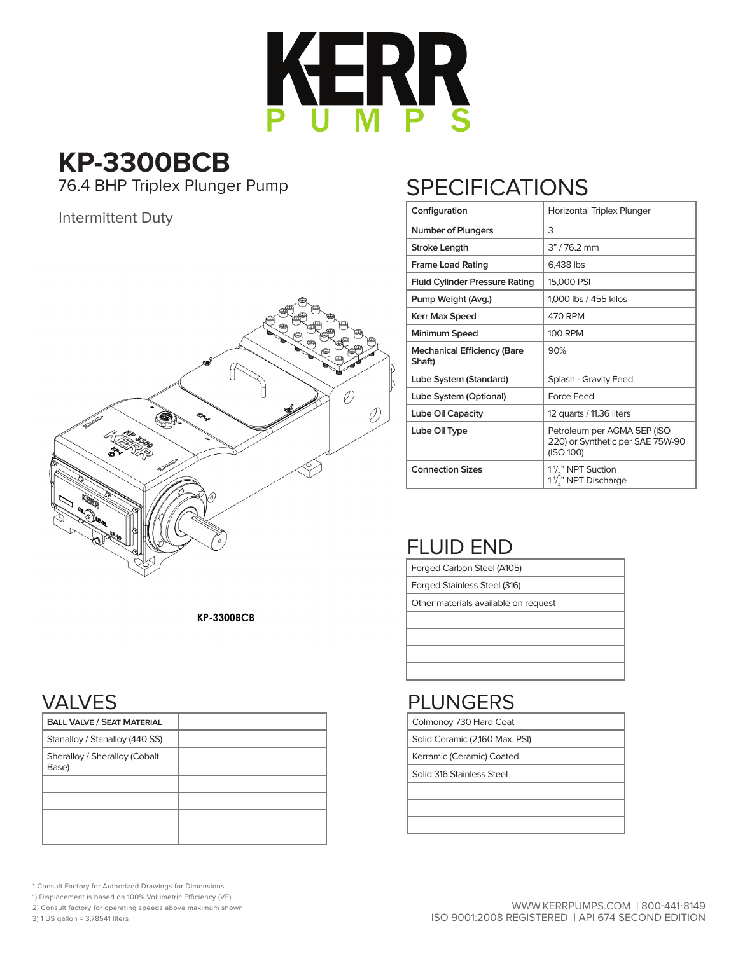

#### **KP-3300BCB** 76.4 BHP Triplex Plunger Pump

Intermittent Duty



## **SPECIFICATIONS**

| Configuration                                | Horizontal Triplex Plunger                                                      |
|----------------------------------------------|---------------------------------------------------------------------------------|
| Number of Plungers                           | 3                                                                               |
| Stroke Length                                | 3" / 76.2 mm                                                                    |
| <b>Frame Load Rating</b>                     | 6,438 lbs                                                                       |
| <b>Fluid Cylinder Pressure Rating</b>        | 15,000 PSI                                                                      |
| Pump Weight (Avg.)                           | 1,000 lbs / 455 kilos                                                           |
| Kerr Max Speed                               | 470 RPM                                                                         |
| Minimum Speed                                | <b>100 RPM</b>                                                                  |
| <b>Mechanical Efficiency (Bare</b><br>Shaft) | 90%                                                                             |
| Lube System (Standard)                       | Splash - Gravity Feed                                                           |
| Lube System (Optional)                       | Force Feed                                                                      |
| Lube Oil Capacity                            | 12 quarts / 11.36 liters                                                        |
| Lube Oil Type                                | Petroleum per AGMA 5EP (ISO<br>220) or Synthetic per SAE 75W-90<br>(ISO 100)    |
| <b>Connection Sizes</b>                      | 1 <sup>1</sup> / <sub>2</sub> " NPT Suction<br>1 <sup>1</sup> /," NPT Discharge |

### FLUID END

Forged Carbon Steel (A105)

Forged Stainless Steel (316)

Colmonoy 730 Hard Coat Solid Ceramic (2,160 Max. PSI) Kerramic (Ceramic) Coated Solid 316 Stainless Steel

PLUNGERS

Other materials available on request

**KP-3300BCB** 

#### VALVES

| <b>BALL VALVE / SEAT MATERIAL</b>      |  |
|----------------------------------------|--|
| Stanalloy / Stanalloy (440 SS)         |  |
| Sheralloy / Sheralloy (Cobalt<br>Base) |  |
|                                        |  |
|                                        |  |
|                                        |  |
|                                        |  |

\* Consult Factory for Authorized Drawings for Dimensions

1) Displacement is based on 100% Volumetric Efficiency (VE)

2) Consult factory for operating speeds above maximum shown

3) 1 US gallon = 3.78541 liters